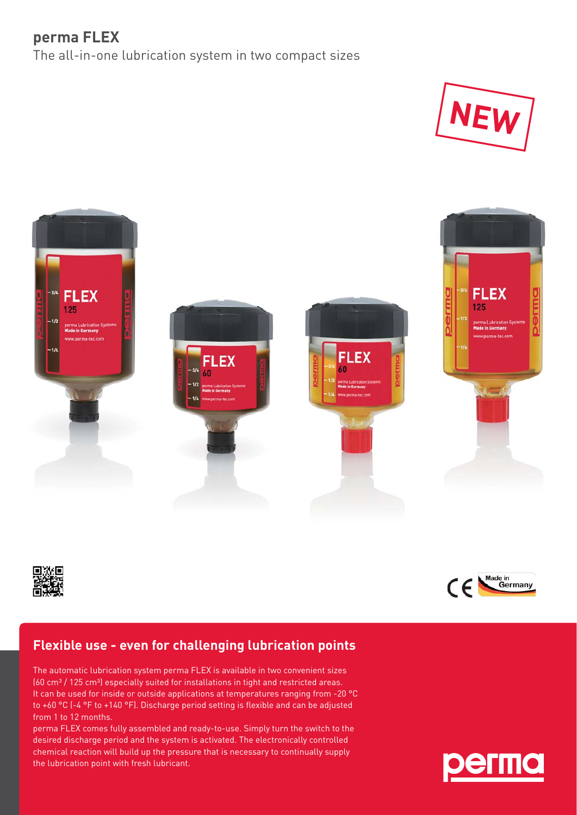## **perma FLEX**

The all-in-one lubrication system in two compact sizes









## **Flexible use - even for challenging lubrication points**

The automatic lubrication system perma FLEX is available in two convenient sizes (60 cm<sup>3</sup> / 125 cm<sup>3</sup>) especially suited for installations in tight and restricted areas. It can be used for inside or outside applications at temperatures ranging from -20 °C to +60 °C (-4 °F to +140 °F). Discharge period setting is flexible and can be adjusted from 1 to 12 months.

perma FLEX comes fully assembled and ready-to-use. Simply turn the switch to the desired discharge period and the system is activated. The electronically controlled chemical reaction will build up the pressure that is necessary to continually supply the lubrication point with fresh lubricant.